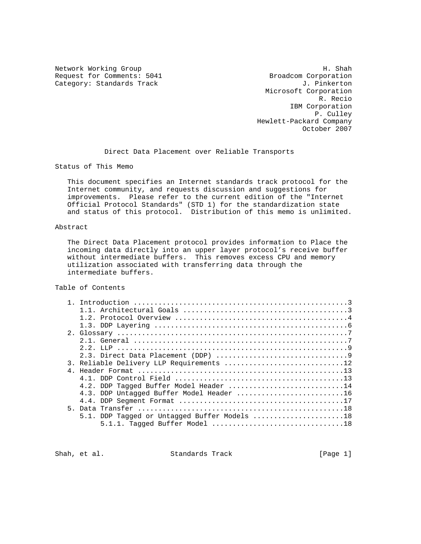Request for Comments: 5041 Broadcom Corporation<br>
Category: Standards Track and Category: Standards Track Category: Standards Track

Network Working Group Network Morking Group Microsoft Corporation R. Recio IBM Corporation P. Culley Hewlett-Packard Company October 2007

Direct Data Placement over Reliable Transports

Status of This Memo

 This document specifies an Internet standards track protocol for the Internet community, and requests discussion and suggestions for improvements. Please refer to the current edition of the "Internet Official Protocol Standards" (STD 1) for the standardization state and status of this protocol. Distribution of this memo is unlimited.

## Abstract

 The Direct Data Placement protocol provides information to Place the incoming data directly into an upper layer protocol's receive buffer without intermediate buffers. This removes excess CPU and memory utilization associated with transferring data through the intermediate buffers.

Table of Contents

|  | 3. Reliable Delivery LLP Requirements 12                                                     |
|--|----------------------------------------------------------------------------------------------|
|  |                                                                                              |
|  |                                                                                              |
|  | 4.2. DDP Tagged Buffer Model Header 14                                                       |
|  | 4.3. DDP Untagged Buffer Model Header 16                                                     |
|  |                                                                                              |
|  |                                                                                              |
|  | 5.1. DDP Tagged or Untagged Buffer Models $\ldots \ldots \ldots \ldots \ldots \ldots \ldots$ |
|  |                                                                                              |
|  |                                                                                              |

Shah, et al. Standards Track [Page 1]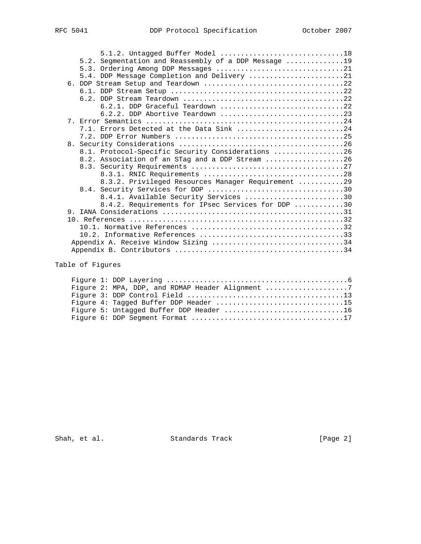| 5.1.2. Untagged Buffer Model 18                                                                       |  |
|-------------------------------------------------------------------------------------------------------|--|
| 5.2. Segmentation and Reassembly of a DDP Message 19                                                  |  |
|                                                                                                       |  |
| 5.4. DDP Message Completion and Delivery 21                                                           |  |
|                                                                                                       |  |
|                                                                                                       |  |
| 6.2. DDP Stream Teardown $\ldots, \ldots, \ldots, \ldots, \ldots, \ldots, \ldots, \ldots, \ldots, 22$ |  |
| 6.2.1. DDP Graceful Teardown 22                                                                       |  |
| 6.2.2. DDP Abortive Teardown $\ldots \ldots \ldots \ldots \ldots \ldots \ldots \ldots \ldots$         |  |
|                                                                                                       |  |
| 7.1. Errors Detected at the Data Sink 24                                                              |  |
|                                                                                                       |  |
|                                                                                                       |  |
| 8.1. Protocol-Specific Security Considerations 26                                                     |  |
| 8.2. Association of an STag and a DDP Stream 26                                                       |  |
|                                                                                                       |  |
|                                                                                                       |  |
| 8.3.2. Privileged Resources Manager Requirement 29                                                    |  |
|                                                                                                       |  |
| 8.4.1. Available Security Services 30                                                                 |  |
| 8.4.2. Requirements for IPsec Services for DDP 30                                                     |  |
|                                                                                                       |  |
|                                                                                                       |  |
|                                                                                                       |  |
|                                                                                                       |  |
| Appendix A. Receive Window Sizing 34                                                                  |  |
|                                                                                                       |  |

# Table of Figures

|  | Figure 2: MPA, DDP, and RDMAP Header Alignment 7 |
|--|--------------------------------------------------|
|  |                                                  |
|  |                                                  |
|  | Figure 5: Untagged Buffer DDP Header 16          |
|  |                                                  |

Shah, et al. Standards Track [Page 2]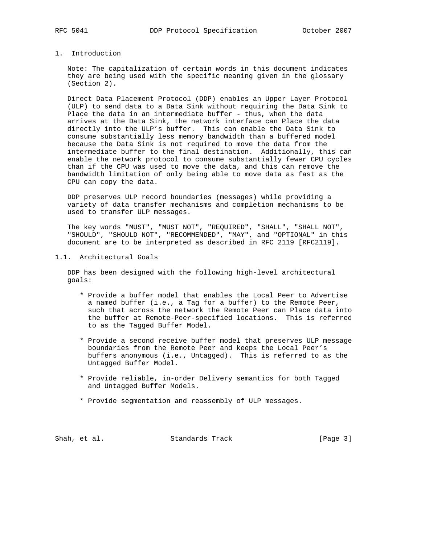## 1. Introduction

 Note: The capitalization of certain words in this document indicates they are being used with the specific meaning given in the glossary (Section 2).

 Direct Data Placement Protocol (DDP) enables an Upper Layer Protocol (ULP) to send data to a Data Sink without requiring the Data Sink to Place the data in an intermediate buffer - thus, when the data arrives at the Data Sink, the network interface can Place the data directly into the ULP's buffer. This can enable the Data Sink to consume substantially less memory bandwidth than a buffered model because the Data Sink is not required to move the data from the intermediate buffer to the final destination. Additionally, this can enable the network protocol to consume substantially fewer CPU cycles than if the CPU was used to move the data, and this can remove the bandwidth limitation of only being able to move data as fast as the CPU can copy the data.

 DDP preserves ULP record boundaries (messages) while providing a variety of data transfer mechanisms and completion mechanisms to be used to transfer ULP messages.

 The key words "MUST", "MUST NOT", "REQUIRED", "SHALL", "SHALL NOT", "SHOULD", "SHOULD NOT", "RECOMMENDED", "MAY", and "OPTIONAL" in this document are to be interpreted as described in RFC 2119 [RFC2119].

## 1.1. Architectural Goals

 DDP has been designed with the following high-level architectural goals:

- \* Provide a buffer model that enables the Local Peer to Advertise a named buffer (i.e., a Tag for a buffer) to the Remote Peer, such that across the network the Remote Peer can Place data into the buffer at Remote-Peer-specified locations. This is referred to as the Tagged Buffer Model.
- \* Provide a second receive buffer model that preserves ULP message boundaries from the Remote Peer and keeps the Local Peer's buffers anonymous (i.e., Untagged). This is referred to as the Untagged Buffer Model.
- \* Provide reliable, in-order Delivery semantics for both Tagged and Untagged Buffer Models.
- \* Provide segmentation and reassembly of ULP messages.

Shah, et al. Standards Track [Page 3]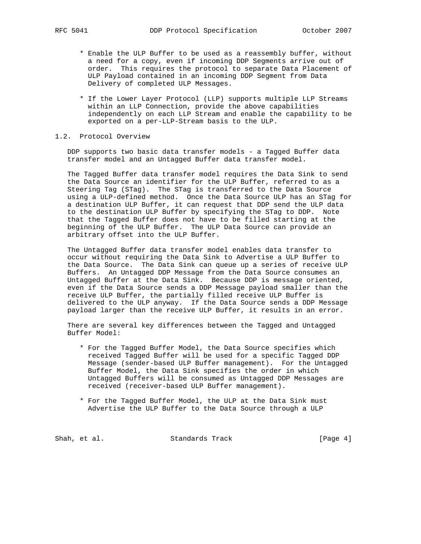- \* Enable the ULP Buffer to be used as a reassembly buffer, without a need for a copy, even if incoming DDP Segments arrive out of order. This requires the protocol to separate Data Placement of ULP Payload contained in an incoming DDP Segment from Data Delivery of completed ULP Messages.
- \* If the Lower Layer Protocol (LLP) supports multiple LLP Streams within an LLP Connection, provide the above capabilities independently on each LLP Stream and enable the capability to be exported on a per-LLP-Stream basis to the ULP.

## 1.2. Protocol Overview

 DDP supports two basic data transfer models - a Tagged Buffer data transfer model and an Untagged Buffer data transfer model.

 The Tagged Buffer data transfer model requires the Data Sink to send the Data Source an identifier for the ULP Buffer, referred to as a Steering Tag (STag). The STag is transferred to the Data Source using a ULP-defined method. Once the Data Source ULP has an STag for a destination ULP Buffer, it can request that DDP send the ULP data to the destination ULP Buffer by specifying the STag to DDP. Note that the Tagged Buffer does not have to be filled starting at the beginning of the ULP Buffer. The ULP Data Source can provide an arbitrary offset into the ULP Buffer.

 The Untagged Buffer data transfer model enables data transfer to occur without requiring the Data Sink to Advertise a ULP Buffer to the Data Source. The Data Sink can queue up a series of receive ULP Buffers. An Untagged DDP Message from the Data Source consumes an Untagged Buffer at the Data Sink. Because DDP is message oriented, even if the Data Source sends a DDP Message payload smaller than the receive ULP Buffer, the partially filled receive ULP Buffer is delivered to the ULP anyway. If the Data Source sends a DDP Message payload larger than the receive ULP Buffer, it results in an error.

 There are several key differences between the Tagged and Untagged Buffer Model:

- \* For the Tagged Buffer Model, the Data Source specifies which received Tagged Buffer will be used for a specific Tagged DDP Message (sender-based ULP Buffer management). For the Untagged Buffer Model, the Data Sink specifies the order in which Untagged Buffers will be consumed as Untagged DDP Messages are received (receiver-based ULP Buffer management).
- \* For the Tagged Buffer Model, the ULP at the Data Sink must Advertise the ULP Buffer to the Data Source through a ULP

Shah, et al. Standards Track [Page 4]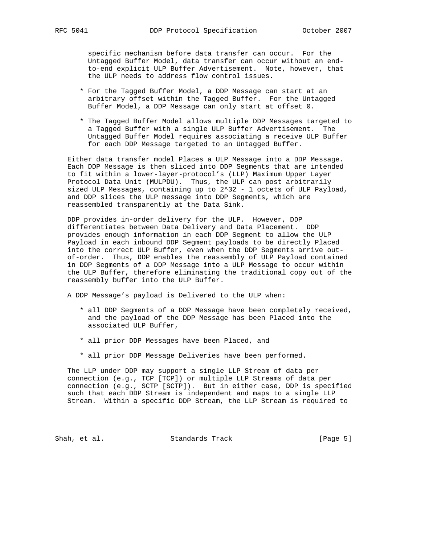specific mechanism before data transfer can occur. For the Untagged Buffer Model, data transfer can occur without an end to-end explicit ULP Buffer Advertisement. Note, however, that the ULP needs to address flow control issues.

- \* For the Tagged Buffer Model, a DDP Message can start at an arbitrary offset within the Tagged Buffer. For the Untagged Buffer Model, a DDP Message can only start at offset 0.
- \* The Tagged Buffer Model allows multiple DDP Messages targeted to a Tagged Buffer with a single ULP Buffer Advertisement. The Untagged Buffer Model requires associating a receive ULP Buffer for each DDP Message targeted to an Untagged Buffer.

 Either data transfer model Places a ULP Message into a DDP Message. Each DDP Message is then sliced into DDP Segments that are intended to fit within a lower-layer-protocol's (LLP) Maximum Upper Layer Protocol Data Unit (MULPDU). Thus, the ULP can post arbitrarily sized ULP Messages, containing up to 2^32 - 1 octets of ULP Payload, and DDP slices the ULP message into DDP Segments, which are reassembled transparently at the Data Sink.

 DDP provides in-order delivery for the ULP. However, DDP differentiates between Data Delivery and Data Placement. DDP provides enough information in each DDP Segment to allow the ULP Payload in each inbound DDP Segment payloads to be directly Placed into the correct ULP Buffer, even when the DDP Segments arrive out of-order. Thus, DDP enables the reassembly of ULP Payload contained in DDP Segments of a DDP Message into a ULP Message to occur within the ULP Buffer, therefore eliminating the traditional copy out of the reassembly buffer into the ULP Buffer.

A DDP Message's payload is Delivered to the ULP when:

- \* all DDP Segments of a DDP Message have been completely received, and the payload of the DDP Message has been Placed into the associated ULP Buffer,
- \* all prior DDP Messages have been Placed, and
- \* all prior DDP Message Deliveries have been performed.

 The LLP under DDP may support a single LLP Stream of data per connection (e.g., TCP [TCP]) or multiple LLP Streams of data per connection (e.g., SCTP [SCTP]). But in either case, DDP is specified such that each DDP Stream is independent and maps to a single LLP Stream. Within a specific DDP Stream, the LLP Stream is required to

Shah, et al. Standards Track [Page 5]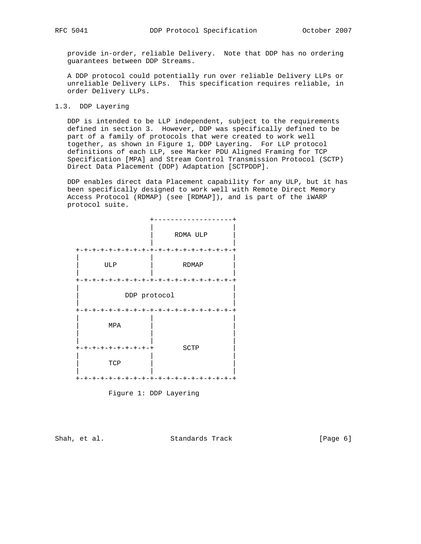provide in-order, reliable Delivery. Note that DDP has no ordering guarantees between DDP Streams.

 A DDP protocol could potentially run over reliable Delivery LLPs or unreliable Delivery LLPs. This specification requires reliable, in order Delivery LLPs.

1.3. DDP Layering

 DDP is intended to be LLP independent, subject to the requirements defined in section 3. However, DDP was specifically defined to be part of a family of protocols that were created to work well together, as shown in Figure 1, DDP Layering. For LLP protocol definitions of each LLP, see Marker PDU Aligned Framing for TCP Specification [MPA] and Stream Control Transmission Protocol (SCTP) Direct Data Placement (DDP) Adaptation [SCTPDDP].

 DDP enables direct data Placement capability for any ULP, but it has been specifically designed to work well with Remote Direct Memory Access Protocol (RDMAP) (see [RDMAP]), and is part of the iWARP protocol suite.



Figure 1: DDP Layering

Shah, et al. Standards Track [Page 6]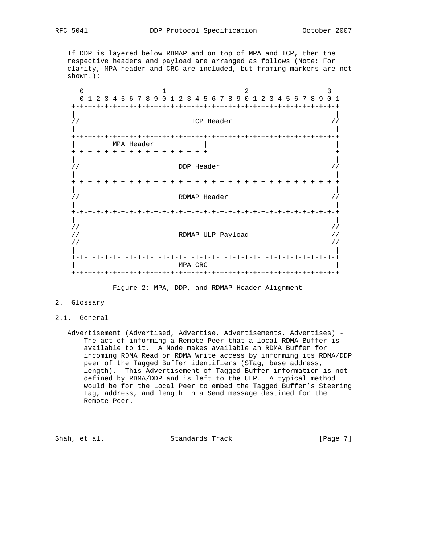If DDP is layered below RDMAP and on top of MPA and TCP, then the respective headers and payload are arranged as follows (Note: For clarity, MPA header and CRC are included, but framing markers are not shown.):

 $\begin{array}{ccccccc}\n0 & & & 1 & & & 2 & & 3\n\end{array}$  0 1 2 3 4 5 6 7 8 9 0 1 2 3 4 5 6 7 8 9 0 1 2 3 4 5 6 7 8 9 0 1 +-+-+-+-+-+-+-+-+-+-+-+-+-+-+-+-+-+-+-+-+-+-+-+-+-+-+-+-+-+-+-+-+ | | // TCP Header // | | +-+-+-+-+-+-+-+-+-+-+-+-+-+-+-+-+-+-+-+-+-+-+-+-+-+-+-+-+-+-+-+-+ MPA Header +-+-+-+-+-+-+-+-+-+-+-+-+-+-+-+-+ + | |  $\frac{1}{2}$ //  $\frac{1}{2}$  DDP Header  $\frac{1}{2}$  DDP  $\frac{1}{2}$  DDP  $\frac{1}{2}$   $\frac{1}{2}$  DDP  $\frac{1}{2}$   $\frac{1}{2}$   $\frac{1}{2}$   $\frac{1}{2}$   $\frac{1}{2}$   $\frac{1}{2}$   $\frac{1}{2}$   $\frac{1}{2}$   $\frac{1}{2}$   $\frac{1}{2}$   $\frac{1}{2}$   $\frac{1}{2}$   $\frac{1}{2}$   $\frac{1}{$  | | +-+-+-+-+-+-+-+-+-+-+-+-+-+-+-+-+-+-+-+-+-+-+-+-+-+-+-+-+-+-+-+-+ | | // RDMAP Header // | | +-+-+-+-+-+-+-+-+-+-+-+-+-+-+-+-+-+-+-+-+-+-+-+-+-+-+-+-+-+-+-+-+ | | // // // RDMAP ULP Payload // // // | | +-+-+-+-+-+-+-+-+-+-+-+-+-+-+-+-+-+-+-+-+-+-+-+-+-+-+-+-+-+-+-+-+  $MPA$  CRC +-+-+-+-+-+-+-+-+-+-+-+-+-+-+-+-+-+-+-+-+-+-+-+-+-+-+-+-+-+-+-+-+

Figure 2: MPA, DDP, and RDMAP Header Alignment

- 2. Glossary
- 2.1. General

 Advertisement (Advertised, Advertise, Advertisements, Advertises) - The act of informing a Remote Peer that a local RDMA Buffer is available to it. A Node makes available an RDMA Buffer for incoming RDMA Read or RDMA Write access by informing its RDMA/DDP peer of the Tagged Buffer identifiers (STag, base address, length). This Advertisement of Tagged Buffer information is not defined by RDMA/DDP and is left to the ULP. A typical method would be for the Local Peer to embed the Tagged Buffer's Steering Tag, address, and length in a Send message destined for the Remote Peer.

Shah, et al. Standards Track [Page 7]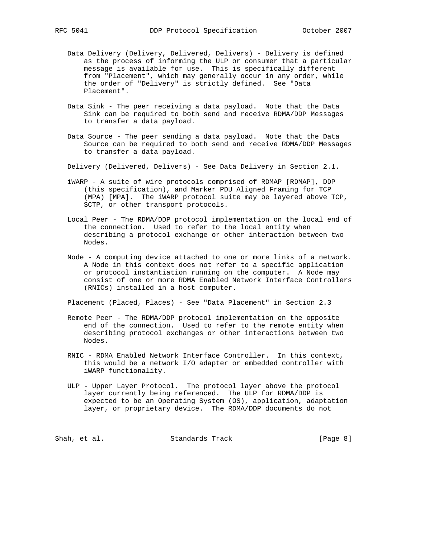- Data Delivery (Delivery, Delivered, Delivers) Delivery is defined as the process of informing the ULP or consumer that a particular message is available for use. This is specifically different from "Placement", which may generally occur in any order, while the order of "Delivery" is strictly defined. See "Data Placement".
- Data Sink The peer receiving a data payload. Note that the Data Sink can be required to both send and receive RDMA/DDP Messages to transfer a data payload.
- Data Source The peer sending a data payload. Note that the Data Source can be required to both send and receive RDMA/DDP Messages to transfer a data payload.
- Delivery (Delivered, Delivers) See Data Delivery in Section 2.1.
- iWARP A suite of wire protocols comprised of RDMAP [RDMAP], DDP (this specification), and Marker PDU Aligned Framing for TCP (MPA) [MPA]. The iWARP protocol suite may be layered above TCP, SCTP, or other transport protocols.
- Local Peer The RDMA/DDP protocol implementation on the local end of the connection. Used to refer to the local entity when describing a protocol exchange or other interaction between two Nodes.
- Node A computing device attached to one or more links of a network. A Node in this context does not refer to a specific application or protocol instantiation running on the computer. A Node may consist of one or more RDMA Enabled Network Interface Controllers (RNICs) installed in a host computer.

Placement (Placed, Places) - See "Data Placement" in Section 2.3

- Remote Peer The RDMA/DDP protocol implementation on the opposite end of the connection. Used to refer to the remote entity when describing protocol exchanges or other interactions between two Nodes.
- RNIC RDMA Enabled Network Interface Controller. In this context, this would be a network I/O adapter or embedded controller with iWARP functionality.
- ULP Upper Layer Protocol. The protocol layer above the protocol layer currently being referenced. The ULP for RDMA/DDP is expected to be an Operating System (OS), application, adaptation layer, or proprietary device. The RDMA/DDP documents do not

Shah, et al. Standards Track [Page 8]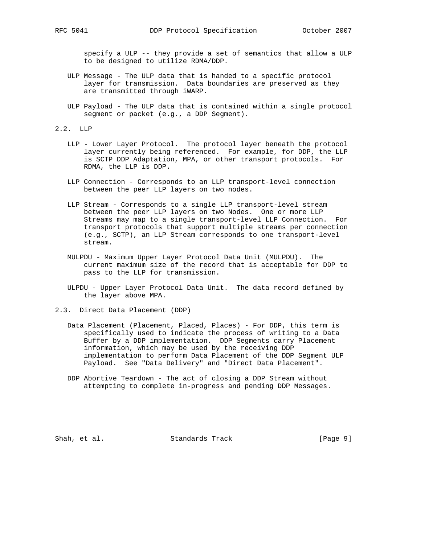specify a ULP -- they provide a set of semantics that allow a ULP to be designed to utilize RDMA/DDP.

- ULP Message The ULP data that is handed to a specific protocol layer for transmission. Data boundaries are preserved as they are transmitted through iWARP.
- ULP Payload The ULP data that is contained within a single protocol segment or packet (e.g., a DDP Segment).
- 2.2. LLP
	- LLP Lower Layer Protocol. The protocol layer beneath the protocol layer currently being referenced. For example, for DDP, the LLP is SCTP DDP Adaptation, MPA, or other transport protocols. For RDMA, the LLP is DDP.
	- LLP Connection Corresponds to an LLP transport-level connection between the peer LLP layers on two nodes.
	- LLP Stream Corresponds to a single LLP transport-level stream between the peer LLP layers on two Nodes. One or more LLP Streams may map to a single transport-level LLP Connection. For transport protocols that support multiple streams per connection (e.g., SCTP), an LLP Stream corresponds to one transport-level stream.
	- MULPDU Maximum Upper Layer Protocol Data Unit (MULPDU). The current maximum size of the record that is acceptable for DDP to pass to the LLP for transmission.
	- ULPDU Upper Layer Protocol Data Unit. The data record defined by the layer above MPA.
- 2.3. Direct Data Placement (DDP)
	- Data Placement (Placement, Placed, Places) For DDP, this term is specifically used to indicate the process of writing to a Data Buffer by a DDP implementation. DDP Segments carry Placement information, which may be used by the receiving DDP implementation to perform Data Placement of the DDP Segment ULP Payload. See "Data Delivery" and "Direct Data Placement".
	- DDP Abortive Teardown The act of closing a DDP Stream without attempting to complete in-progress and pending DDP Messages.

Shah, et al. Standards Track [Page 9]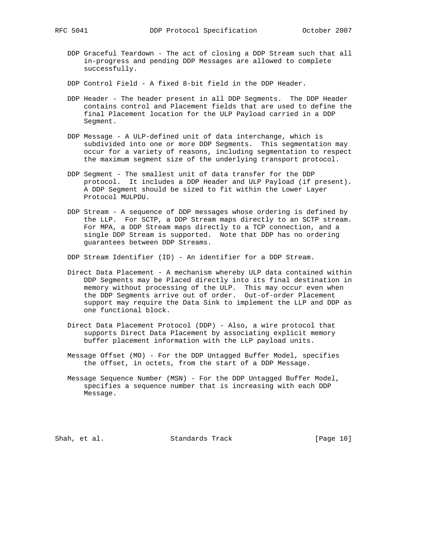- DDP Graceful Teardown The act of closing a DDP Stream such that all in-progress and pending DDP Messages are allowed to complete successfully.
- DDP Control Field A fixed 8-bit field in the DDP Header.
- DDP Header The header present in all DDP Segments. The DDP Header contains control and Placement fields that are used to define the final Placement location for the ULP Payload carried in a DDP Segment.
- DDP Message A ULP-defined unit of data interchange, which is subdivided into one or more DDP Segments. This segmentation may occur for a variety of reasons, including segmentation to respect the maximum segment size of the underlying transport protocol.
- DDP Segment The smallest unit of data transfer for the DDP protocol. It includes a DDP Header and ULP Payload (if present). A DDP Segment should be sized to fit within the Lower Layer Protocol MULPDU.
- DDP Stream A sequence of DDP messages whose ordering is defined by the LLP. For SCTP, a DDP Stream maps directly to an SCTP stream. For MPA, a DDP Stream maps directly to a TCP connection, and a single DDP Stream is supported. Note that DDP has no ordering guarantees between DDP Streams.

DDP Stream Identifier (ID) - An identifier for a DDP Stream.

- Direct Data Placement A mechanism whereby ULP data contained within DDP Segments may be Placed directly into its final destination in memory without processing of the ULP. This may occur even when the DDP Segments arrive out of order. Out-of-order Placement support may require the Data Sink to implement the LLP and DDP as one functional block.
- Direct Data Placement Protocol (DDP) Also, a wire protocol that supports Direct Data Placement by associating explicit memory buffer placement information with the LLP payload units.
- Message Offset (MO) For the DDP Untagged Buffer Model, specifies the offset, in octets, from the start of a DDP Message.
- Message Sequence Number (MSN) For the DDP Untagged Buffer Model, specifies a sequence number that is increasing with each DDP Message.

Shah, et al. Standards Track [Page 10]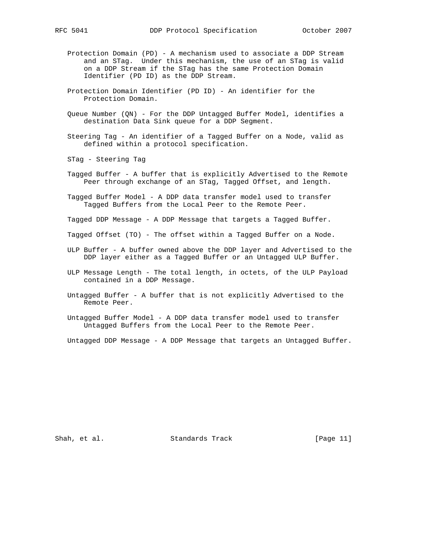- Protection Domain (PD) A mechanism used to associate a DDP Stream and an STag. Under this mechanism, the use of an STag is valid on a DDP Stream if the STag has the same Protection Domain Identifier (PD ID) as the DDP Stream.
- Protection Domain Identifier (PD ID) An identifier for the Protection Domain.
- Queue Number (QN) For the DDP Untagged Buffer Model, identifies a destination Data Sink queue for a DDP Segment.
- Steering Tag An identifier of a Tagged Buffer on a Node, valid as defined within a protocol specification.

STag - Steering Tag

- Tagged Buffer A buffer that is explicitly Advertised to the Remote Peer through exchange of an STag, Tagged Offset, and length.
- Tagged Buffer Model A DDP data transfer model used to transfer Tagged Buffers from the Local Peer to the Remote Peer.

Tagged DDP Message - A DDP Message that targets a Tagged Buffer.

- Tagged Offset (TO) The offset within a Tagged Buffer on a Node.
- ULP Buffer A buffer owned above the DDP layer and Advertised to the DDP layer either as a Tagged Buffer or an Untagged ULP Buffer.
- ULP Message Length The total length, in octets, of the ULP Payload contained in a DDP Message.
- Untagged Buffer A buffer that is not explicitly Advertised to the Remote Peer.
- Untagged Buffer Model A DDP data transfer model used to transfer Untagged Buffers from the Local Peer to the Remote Peer.

Untagged DDP Message - A DDP Message that targets an Untagged Buffer.

Shah, et al. Standards Track [Page 11]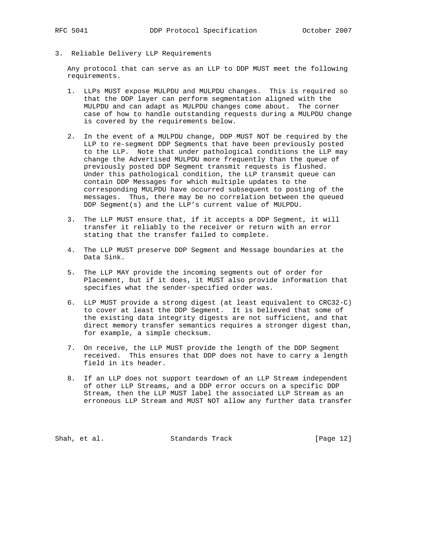3. Reliable Delivery LLP Requirements

 Any protocol that can serve as an LLP to DDP MUST meet the following requirements.

- 1. LLPs MUST expose MULPDU and MULPDU changes. This is required so that the DDP layer can perform segmentation aligned with the MULPDU and can adapt as MULPDU changes come about. The corner case of how to handle outstanding requests during a MULPDU change is covered by the requirements below.
- 2. In the event of a MULPDU change, DDP MUST NOT be required by the LLP to re-segment DDP Segments that have been previously posted to the LLP. Note that under pathological conditions the LLP may change the Advertised MULPDU more frequently than the queue of previously posted DDP Segment transmit requests is flushed. Under this pathological condition, the LLP transmit queue can contain DDP Messages for which multiple updates to the corresponding MULPDU have occurred subsequent to posting of the messages. Thus, there may be no correlation between the queued DDP Segment(s) and the LLP's current value of MULPDU.
- 3. The LLP MUST ensure that, if it accepts a DDP Segment, it will transfer it reliably to the receiver or return with an error stating that the transfer failed to complete.
- 4. The LLP MUST preserve DDP Segment and Message boundaries at the Data Sink.
- 5. The LLP MAY provide the incoming segments out of order for Placement, but if it does, it MUST also provide information that specifies what the sender-specified order was.
- 6. LLP MUST provide a strong digest (at least equivalent to CRC32-C) to cover at least the DDP Segment. It is believed that some of the existing data integrity digests are not sufficient, and that direct memory transfer semantics requires a stronger digest than, for example, a simple checksum.
- 7. On receive, the LLP MUST provide the length of the DDP Segment received. This ensures that DDP does not have to carry a length field in its header.
- 8. If an LLP does not support teardown of an LLP Stream independent of other LLP Streams, and a DDP error occurs on a specific DDP Stream, then the LLP MUST label the associated LLP Stream as an erroneous LLP Stream and MUST NOT allow any further data transfer

Shah, et al. Standards Track [Page 12]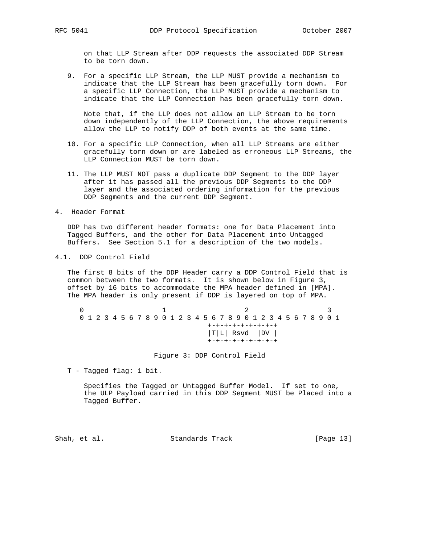on that LLP Stream after DDP requests the associated DDP Stream to be torn down.

 9. For a specific LLP Stream, the LLP MUST provide a mechanism to indicate that the LLP Stream has been gracefully torn down. For a specific LLP Connection, the LLP MUST provide a mechanism to indicate that the LLP Connection has been gracefully torn down.

 Note that, if the LLP does not allow an LLP Stream to be torn down independently of the LLP Connection, the above requirements allow the LLP to notify DDP of both events at the same time.

- 10. For a specific LLP Connection, when all LLP Streams are either gracefully torn down or are labeled as erroneous LLP Streams, the LLP Connection MUST be torn down.
- 11. The LLP MUST NOT pass a duplicate DDP Segment to the DDP layer after it has passed all the previous DDP Segments to the DDP layer and the associated ordering information for the previous DDP Segments and the current DDP Segment.
- 4. Header Format

 DDP has two different header formats: one for Data Placement into Tagged Buffers, and the other for Data Placement into Untagged Buffers. See Section 5.1 for a description of the two models.

4.1. DDP Control Field

 The first 8 bits of the DDP Header carry a DDP Control Field that is common between the two formats. It is shown below in Figure 3, offset by 16 bits to accommodate the MPA header defined in [MPA]. The MPA header is only present if DDP is layered on top of MPA.

 $0$  and  $1$  and  $2$  3 0 1 2 3 4 5 6 7 8 9 0 1 2 3 4 5 6 7 8 9 0 1 2 3 4 5 6 7 8 9 0 1 +-+-+-+-+-+-+-+-+ |T|L| Rsvd |DV | +-+-+-+-+-+-+-+-+

Figure 3: DDP Control Field

T - Tagged flag: 1 bit.

 Specifies the Tagged or Untagged Buffer Model. If set to one, the ULP Payload carried in this DDP Segment MUST be Placed into a Tagged Buffer.

Shah, et al. Standards Track [Page 13]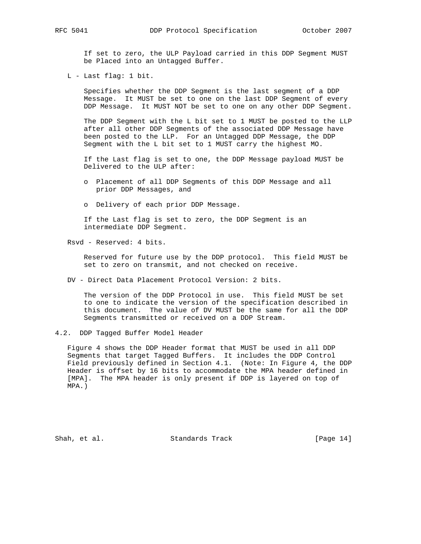If set to zero, the ULP Payload carried in this DDP Segment MUST be Placed into an Untagged Buffer.

L - Last flag: 1 bit.

 Specifies whether the DDP Segment is the last segment of a DDP Message. It MUST be set to one on the last DDP Segment of every DDP Message. It MUST NOT be set to one on any other DDP Segment.

 The DDP Segment with the L bit set to 1 MUST be posted to the LLP after all other DDP Segments of the associated DDP Message have been posted to the LLP. For an Untagged DDP Message, the DDP Segment with the L bit set to 1 MUST carry the highest MO.

 If the Last flag is set to one, the DDP Message payload MUST be Delivered to the ULP after:

- o Placement of all DDP Segments of this DDP Message and all prior DDP Messages, and
- o Delivery of each prior DDP Message.

 If the Last flag is set to zero, the DDP Segment is an intermediate DDP Segment.

Rsvd - Reserved: 4 bits.

 Reserved for future use by the DDP protocol. This field MUST be set to zero on transmit, and not checked on receive.

DV - Direct Data Placement Protocol Version: 2 bits.

 The version of the DDP Protocol in use. This field MUST be set to one to indicate the version of the specification described in this document. The value of DV MUST be the same for all the DDP Segments transmitted or received on a DDP Stream.

 Figure 4 shows the DDP Header format that MUST be used in all DDP Segments that target Tagged Buffers. It includes the DDP Control Field previously defined in Section 4.1. (Note: In Figure 4, the DDP Header is offset by 16 bits to accommodate the MPA header defined in [MPA]. The MPA header is only present if DDP is layered on top of MPA.)

Shah, et al. Standards Track [Page 14]

<sup>4.2.</sup> DDP Tagged Buffer Model Header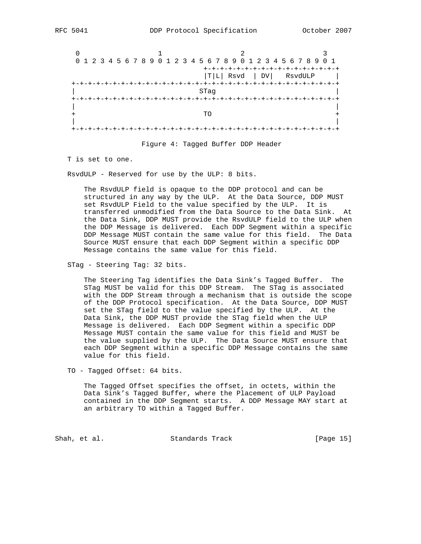|                 |  |  |  |  |  |  |  |                                     |  |  |  |  |  |  | 0 1 2 3 4 5 6 7 8 9 0 1 2 3 4 5 6 7 8 9 0 1 2 3 4 5 6 7 8 9 0 1 |  |
|-----------------|--|--|--|--|--|--|--|-------------------------------------|--|--|--|--|--|--|-----------------------------------------------------------------|--|
|                 |  |  |  |  |  |  |  | +-+-+-+-+-+-+-+-+-+-+-+-+-+-+       |  |  |  |  |  |  |                                                                 |  |
|                 |  |  |  |  |  |  |  | $ T L $ Rsvd $ DV $ RsvdULP         |  |  |  |  |  |  |                                                                 |  |
| +-+-+-+-+-+-+-+ |  |  |  |  |  |  |  | --+-+-+-+-+-+-+-+-+-+-+-+-+-+-+-+-+ |  |  |  |  |  |  |                                                                 |  |
|                 |  |  |  |  |  |  |  | STaq                                |  |  |  |  |  |  |                                                                 |  |
|                 |  |  |  |  |  |  |  |                                     |  |  |  |  |  |  |                                                                 |  |
|                 |  |  |  |  |  |  |  |                                     |  |  |  |  |  |  |                                                                 |  |
|                 |  |  |  |  |  |  |  | TΟ                                  |  |  |  |  |  |  |                                                                 |  |
|                 |  |  |  |  |  |  |  |                                     |  |  |  |  |  |  |                                                                 |  |
|                 |  |  |  |  |  |  |  |                                     |  |  |  |  |  |  |                                                                 |  |

Figure 4: Tagged Buffer DDP Header

T is set to one.

RsvdULP - Reserved for use by the ULP: 8 bits.

 The RsvdULP field is opaque to the DDP protocol and can be structured in any way by the ULP. At the Data Source, DDP MUST set RsvdULP Field to the value specified by the ULP. It is transferred unmodified from the Data Source to the Data Sink. At the Data Sink, DDP MUST provide the RsvdULP field to the ULP when the DDP Message is delivered. Each DDP Segment within a specific DDP Message MUST contain the same value for this field. The Data Source MUST ensure that each DDP Segment within a specific DDP Message contains the same value for this field.

STag - Steering Tag: 32 bits.

 The Steering Tag identifies the Data Sink's Tagged Buffer. The STag MUST be valid for this DDP Stream. The STag is associated with the DDP Stream through a mechanism that is outside the scope of the DDP Protocol specification. At the Data Source, DDP MUST set the STag field to the value specified by the ULP. At the Data Sink, the DDP MUST provide the STag field when the ULP Message is delivered. Each DDP Segment within a specific DDP Message MUST contain the same value for this field and MUST be the value supplied by the ULP. The Data Source MUST ensure that each DDP Segment within a specific DDP Message contains the same value for this field.

TO - Tagged Offset: 64 bits.

 The Tagged Offset specifies the offset, in octets, within the Data Sink's Tagged Buffer, where the Placement of ULP Payload contained in the DDP Segment starts. A DDP Message MAY start at an arbitrary TO within a Tagged Buffer.

Shah, et al. Standards Track [Page 15]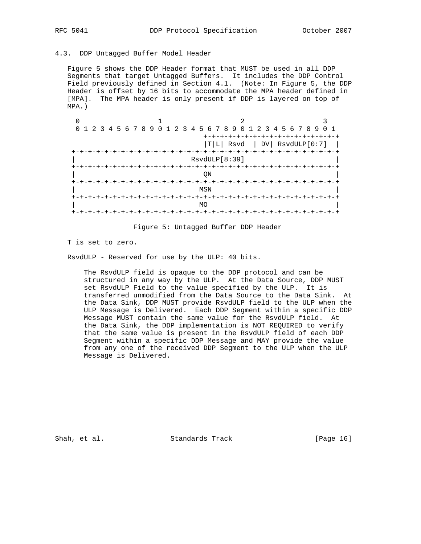## 4.3. DDP Untagged Buffer Model Header

 Figure 5 shows the DDP Header format that MUST be used in all DDP Segments that target Untagged Buffers. It includes the DDP Control Field previously defined in Section 4.1. (Note: In Figure 5, the DDP Header is offset by 16 bits to accommodate the MPA header defined in [MPA]. The MPA header is only present if DDP is layered on top of MPA.)

| 0 1 2 3 4 5 6 7 8 9 0 1 2 3 4 5 6 7 8 9 0 1 2 3 4 5 6 7 8 9 0 1 |               |                                                                    |                |
|-----------------------------------------------------------------|---------------|--------------------------------------------------------------------|----------------|
|                                                                 |               | +-+-+-+-+-+-+-+-+-+-+-+-+-+-+-<br>$ T L $ Rsvd $ DV $ RsvdULP[0:7] |                |
| +-+-+-+-+-+-+-+-+                                               | RsvdULP[8:39] |                                                                    | -+-+-+-+-+-+-+ |
|                                                                 | ON            |                                                                    |                |
|                                                                 | MSN           |                                                                    |                |
|                                                                 | MΟ            |                                                                    |                |
|                                                                 |               |                                                                    |                |

Figure 5: Untagged Buffer DDP Header

T is set to zero.

RsvdULP - Reserved for use by the ULP: 40 bits.

 The RsvdULP field is opaque to the DDP protocol and can be structured in any way by the ULP. At the Data Source, DDP MUST set RsvdULP Field to the value specified by the ULP. It is transferred unmodified from the Data Source to the Data Sink. At the Data Sink, DDP MUST provide RsvdULP field to the ULP when the ULP Message is Delivered. Each DDP Segment within a specific DDP Message MUST contain the same value for the RsvdULP field. At the Data Sink, the DDP implementation is NOT REQUIRED to verify that the same value is present in the RsvdULP field of each DDP Segment within a specific DDP Message and MAY provide the value from any one of the received DDP Segment to the ULP when the ULP Message is Delivered.

Shah, et al. Standards Track [Page 16]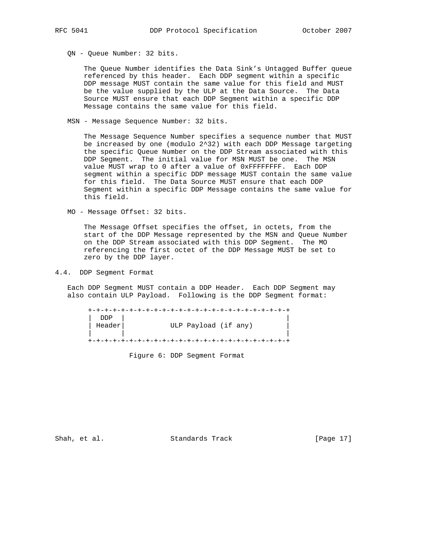QN - Queue Number: 32 bits.

 The Queue Number identifies the Data Sink's Untagged Buffer queue referenced by this header. Each DDP segment within a specific DDP message MUST contain the same value for this field and MUST be the value supplied by the ULP at the Data Source. The Data Source MUST ensure that each DDP Segment within a specific DDP Message contains the same value for this field.

MSN - Message Sequence Number: 32 bits.

 The Message Sequence Number specifies a sequence number that MUST be increased by one (modulo 2^32) with each DDP Message targeting the specific Queue Number on the DDP Stream associated with this DDP Segment. The initial value for MSN MUST be one. The MSN value MUST wrap to 0 after a value of 0xFFFFFFFF. Each DDP segment within a specific DDP message MUST contain the same value for this field. The Data Source MUST ensure that each DDP Segment within a specific DDP Message contains the same value for this field.

MO - Message Offset: 32 bits.

 The Message Offset specifies the offset, in octets, from the start of the DDP Message represented by the MSN and Queue Number on the DDP Stream associated with this DDP Segment. The MO referencing the first octet of the DDP Message MUST be set to zero by the DDP layer.

4.4. DDP Segment Format

 Each DDP Segment MUST contain a DDP Header. Each DDP Segment may also contain ULP Payload. Following is the DDP Segment format:

 +-+-+-+-+-+-+-+-+-+-+-+-+-+-+-+-+-+-+-+-+-+-+-+-+ | DDP | | | Header| ULP Payload (if any) | | | +-+-+-+-+-+-+-+-+-+-+-+-+-+-+-+-+-+-+-+-+-+-+-+-+

Figure 6: DDP Segment Format

Shah, et al. Standards Track [Page 17]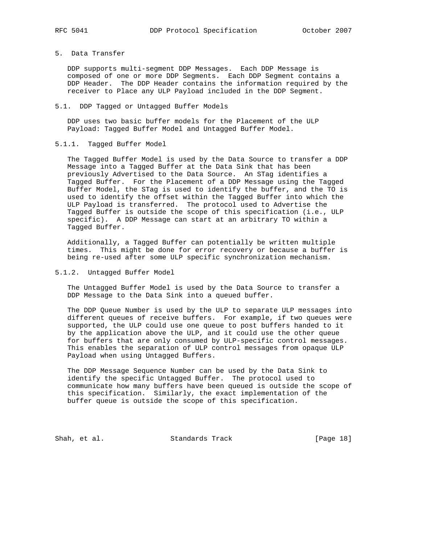5. Data Transfer

 DDP supports multi-segment DDP Messages. Each DDP Message is composed of one or more DDP Segments. Each DDP Segment contains a DDP Header. The DDP Header contains the information required by the receiver to Place any ULP Payload included in the DDP Segment.

#### 5.1. DDP Tagged or Untagged Buffer Models

 DDP uses two basic buffer models for the Placement of the ULP Payload: Tagged Buffer Model and Untagged Buffer Model.

5.1.1. Tagged Buffer Model

 The Tagged Buffer Model is used by the Data Source to transfer a DDP Message into a Tagged Buffer at the Data Sink that has been previously Advertised to the Data Source. An STag identifies a Tagged Buffer. For the Placement of a DDP Message using the Tagged Buffer Model, the STag is used to identify the buffer, and the TO is used to identify the offset within the Tagged Buffer into which the ULP Payload is transferred. The protocol used to Advertise the Tagged Buffer is outside the scope of this specification (i.e., ULP specific). A DDP Message can start at an arbitrary TO within a Tagged Buffer.

 Additionally, a Tagged Buffer can potentially be written multiple times. This might be done for error recovery or because a buffer is being re-used after some ULP specific synchronization mechanism.

## 5.1.2. Untagged Buffer Model

 The Untagged Buffer Model is used by the Data Source to transfer a DDP Message to the Data Sink into a queued buffer.

 The DDP Queue Number is used by the ULP to separate ULP messages into different queues of receive buffers. For example, if two queues were supported, the ULP could use one queue to post buffers handed to it by the application above the ULP, and it could use the other queue for buffers that are only consumed by ULP-specific control messages. This enables the separation of ULP control messages from opaque ULP Payload when using Untagged Buffers.

 The DDP Message Sequence Number can be used by the Data Sink to identify the specific Untagged Buffer. The protocol used to communicate how many buffers have been queued is outside the scope of this specification. Similarly, the exact implementation of the buffer queue is outside the scope of this specification.

Shah, et al. Standards Track [Page 18]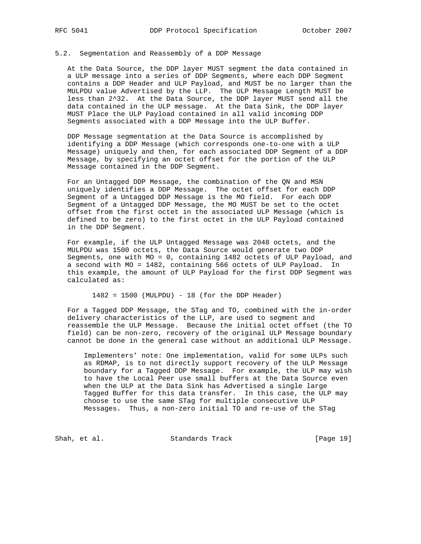## 5.2. Segmentation and Reassembly of a DDP Message

 At the Data Source, the DDP layer MUST segment the data contained in a ULP message into a series of DDP Segments, where each DDP Segment contains a DDP Header and ULP Payload, and MUST be no larger than the MULPDU value Advertised by the LLP. The ULP Message Length MUST be less than 2^32. At the Data Source, the DDP layer MUST send all the data contained in the ULP message. At the Data Sink, the DDP layer MUST Place the ULP Payload contained in all valid incoming DDP Segments associated with a DDP Message into the ULP Buffer.

 DDP Message segmentation at the Data Source is accomplished by identifying a DDP Message (which corresponds one-to-one with a ULP Message) uniquely and then, for each associated DDP Segment of a DDP Message, by specifying an octet offset for the portion of the ULP Message contained in the DDP Segment.

 For an Untagged DDP Message, the combination of the QN and MSN uniquely identifies a DDP Message. The octet offset for each DDP Segment of a Untagged DDP Message is the MO field. For each DDP Segment of a Untagged DDP Message, the MO MUST be set to the octet offset from the first octet in the associated ULP Message (which is defined to be zero) to the first octet in the ULP Payload contained in the DDP Segment.

 For example, if the ULP Untagged Message was 2048 octets, and the MULPDU was 1500 octets, the Data Source would generate two DDP Segments, one with MO = 0, containing 1482 octets of ULP Payload, and a second with MO = 1482, containing 566 octets of ULP Payload. In this example, the amount of ULP Payload for the first DDP Segment was calculated as:

1482 = 1500 (MULPDU) - 18 (for the DDP Header)

 For a Tagged DDP Message, the STag and TO, combined with the in-order delivery characteristics of the LLP, are used to segment and reassemble the ULP Message. Because the initial octet offset (the TO field) can be non-zero, recovery of the original ULP Message boundary cannot be done in the general case without an additional ULP Message.

 Implementers' note: One implementation, valid for some ULPs such as RDMAP, is to not directly support recovery of the ULP Message boundary for a Tagged DDP Message. For example, the ULP may wish to have the Local Peer use small buffers at the Data Source even when the ULP at the Data Sink has Advertised a single large Tagged Buffer for this data transfer. In this case, the ULP may choose to use the same STag for multiple consecutive ULP Messages. Thus, a non-zero initial TO and re-use of the STag

Shah, et al. Standards Track [Page 19]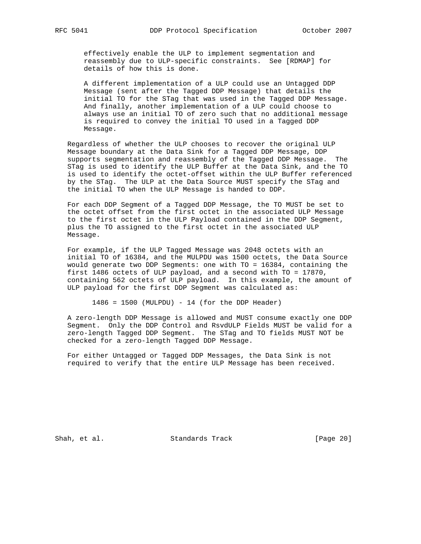effectively enable the ULP to implement segmentation and reassembly due to ULP-specific constraints. See [RDMAP] for details of how this is done.

 A different implementation of a ULP could use an Untagged DDP Message (sent after the Tagged DDP Message) that details the initial TO for the STag that was used in the Tagged DDP Message. And finally, another implementation of a ULP could choose to always use an initial TO of zero such that no additional message is required to convey the initial TO used in a Tagged DDP Message.

 Regardless of whether the ULP chooses to recover the original ULP Message boundary at the Data Sink for a Tagged DDP Message, DDP supports segmentation and reassembly of the Tagged DDP Message. The STag is used to identify the ULP Buffer at the Data Sink, and the TO is used to identify the octet-offset within the ULP Buffer referenced by the STag. The ULP at the Data Source MUST specify the STag and the initial TO when the ULP Message is handed to DDP.

 For each DDP Segment of a Tagged DDP Message, the TO MUST be set to the octet offset from the first octet in the associated ULP Message to the first octet in the ULP Payload contained in the DDP Segment, plus the TO assigned to the first octet in the associated ULP Message.

 For example, if the ULP Tagged Message was 2048 octets with an initial TO of 16384, and the MULPDU was 1500 octets, the Data Source would generate two DDP Segments: one with TO = 16384, containing the first 1486 octets of ULP payload, and a second with TO = 17870, containing 562 octets of ULP payload. In this example, the amount of ULP payload for the first DDP Segment was calculated as:

1486 = 1500 (MULPDU) - 14 (for the DDP Header)

 A zero-length DDP Message is allowed and MUST consume exactly one DDP Segment. Only the DDP Control and RsvdULP Fields MUST be valid for a zero-length Tagged DDP Segment. The STag and TO fields MUST NOT be checked for a zero-length Tagged DDP Message.

 For either Untagged or Tagged DDP Messages, the Data Sink is not required to verify that the entire ULP Message has been received.

Shah, et al. Standards Track [Page 20]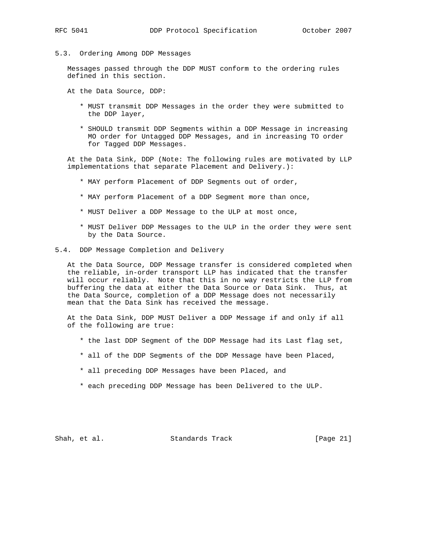5.3. Ordering Among DDP Messages

 Messages passed through the DDP MUST conform to the ordering rules defined in this section.

At the Data Source, DDP:

- \* MUST transmit DDP Messages in the order they were submitted to the DDP layer,
- \* SHOULD transmit DDP Segments within a DDP Message in increasing MO order for Untagged DDP Messages, and in increasing TO order for Tagged DDP Messages.

 At the Data Sink, DDP (Note: The following rules are motivated by LLP implementations that separate Placement and Delivery.):

- \* MAY perform Placement of DDP Segments out of order,
- \* MAY perform Placement of a DDP Segment more than once,
- \* MUST Deliver a DDP Message to the ULP at most once,
- \* MUST Deliver DDP Messages to the ULP in the order they were sent by the Data Source.
- 5.4. DDP Message Completion and Delivery

 At the Data Source, DDP Message transfer is considered completed when the reliable, in-order transport LLP has indicated that the transfer will occur reliably. Note that this in no way restricts the LLP from buffering the data at either the Data Source or Data Sink. Thus, at the Data Source, completion of a DDP Message does not necessarily mean that the Data Sink has received the message.

 At the Data Sink, DDP MUST Deliver a DDP Message if and only if all of the following are true:

- \* the last DDP Segment of the DDP Message had its Last flag set,
- \* all of the DDP Segments of the DDP Message have been Placed,
- \* all preceding DDP Messages have been Placed, and
- \* each preceding DDP Message has been Delivered to the ULP.

Shah, et al. Standards Track [Page 21]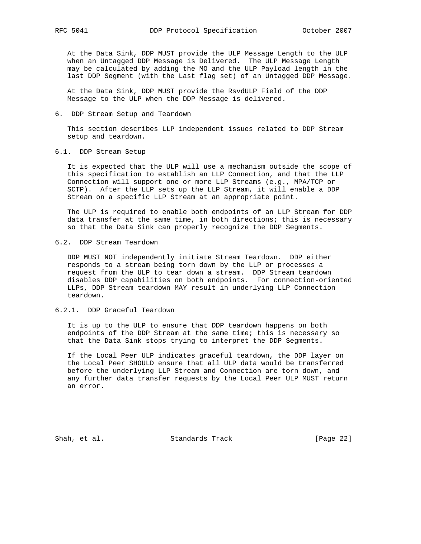At the Data Sink, DDP MUST provide the ULP Message Length to the ULP when an Untagged DDP Message is Delivered. The ULP Message Length may be calculated by adding the MO and the ULP Payload length in the last DDP Seqment (with the Last flag set) of an Untagged DDP Message.

 At the Data Sink, DDP MUST provide the RsvdULP Field of the DDP Message to the ULP when the DDP Message is delivered.

6. DDP Stream Setup and Teardown

 This section describes LLP independent issues related to DDP Stream setup and teardown.

6.1. DDP Stream Setup

 It is expected that the ULP will use a mechanism outside the scope of this specification to establish an LLP Connection, and that the LLP Connection will support one or more LLP Streams (e.g., MPA/TCP or SCTP). After the LLP sets up the LLP Stream, it will enable a DDP Stream on a specific LLP Stream at an appropriate point.

 The ULP is required to enable both endpoints of an LLP Stream for DDP data transfer at the same time, in both directions; this is necessary so that the Data Sink can properly recognize the DDP Segments.

## 6.2. DDP Stream Teardown

 DDP MUST NOT independently initiate Stream Teardown. DDP either responds to a stream being torn down by the LLP or processes a request from the ULP to tear down a stream. DDP Stream teardown disables DDP capabilities on both endpoints. For connection-oriented LLPs, DDP Stream teardown MAY result in underlying LLP Connection teardown.

## 6.2.1. DDP Graceful Teardown

 It is up to the ULP to ensure that DDP teardown happens on both endpoints of the DDP Stream at the same time; this is necessary so that the Data Sink stops trying to interpret the DDP Segments.

 If the Local Peer ULP indicates graceful teardown, the DDP layer on the Local Peer SHOULD ensure that all ULP data would be transferred before the underlying LLP Stream and Connection are torn down, and any further data transfer requests by the Local Peer ULP MUST return an error.

Shah, et al. Standards Track [Page 22]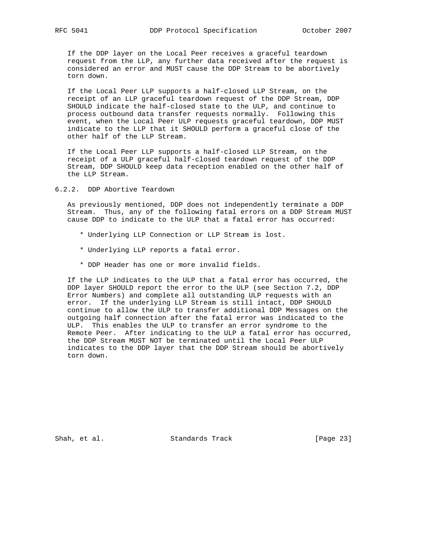If the DDP layer on the Local Peer receives a graceful teardown request from the LLP, any further data received after the request is considered an error and MUST cause the DDP Stream to be abortively torn down.

 If the Local Peer LLP supports a half-closed LLP Stream, on the receipt of an LLP graceful teardown request of the DDP Stream, DDP SHOULD indicate the half-closed state to the ULP, and continue to process outbound data transfer requests normally. Following this event, when the Local Peer ULP requests graceful teardown, DDP MUST indicate to the LLP that it SHOULD perform a graceful close of the other half of the LLP Stream.

 If the Local Peer LLP supports a half-closed LLP Stream, on the receipt of a ULP graceful half-closed teardown request of the DDP Stream, DDP SHOULD keep data reception enabled on the other half of the LLP Stream.

6.2.2. DDP Abortive Teardown

 As previously mentioned, DDP does not independently terminate a DDP Stream. Thus, any of the following fatal errors on a DDP Stream MUST cause DDP to indicate to the ULP that a fatal error has occurred:

- \* Underlying LLP Connection or LLP Stream is lost.
- \* Underlying LLP reports a fatal error.
- \* DDP Header has one or more invalid fields.

 If the LLP indicates to the ULP that a fatal error has occurred, the DDP layer SHOULD report the error to the ULP (see Section 7.2, DDP Error Numbers) and complete all outstanding ULP requests with an error. If the underlying LLP Stream is still intact, DDP SHOULD continue to allow the ULP to transfer additional DDP Messages on the outgoing half connection after the fatal error was indicated to the ULP. This enables the ULP to transfer an error syndrome to the Remote Peer. After indicating to the ULP a fatal error has occurred, the DDP Stream MUST NOT be terminated until the Local Peer ULP indicates to the DDP layer that the DDP Stream should be abortively torn down.

Shah, et al. Standards Track [Page 23]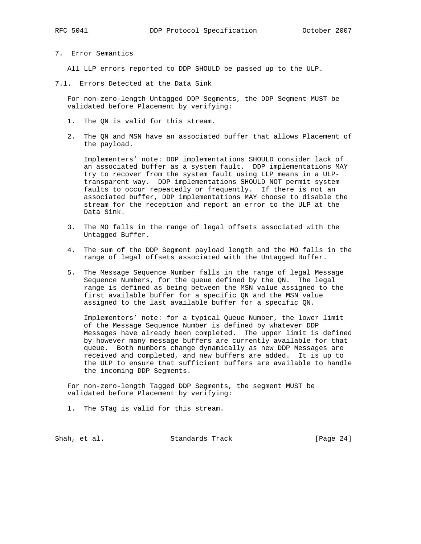7. Error Semantics

All LLP errors reported to DDP SHOULD be passed up to the ULP.

7.1. Errors Detected at the Data Sink

 For non-zero-length Untagged DDP Segments, the DDP Segment MUST be validated before Placement by verifying:

- 1. The QN is valid for this stream.
- 2. The QN and MSN have an associated buffer that allows Placement of the payload.

 Implementers' note: DDP implementations SHOULD consider lack of an associated buffer as a system fault. DDP implementations MAY try to recover from the system fault using LLP means in a ULP transparent way. DDP implementations SHOULD NOT permit system faults to occur repeatedly or frequently. If there is not an associated buffer, DDP implementations MAY choose to disable the stream for the reception and report an error to the ULP at the Data Sink.

- 3. The MO falls in the range of legal offsets associated with the Untagged Buffer.
- 4. The sum of the DDP Segment payload length and the MO falls in the range of legal offsets associated with the Untagged Buffer.
- 5. The Message Sequence Number falls in the range of legal Message Sequence Numbers, for the queue defined by the QN. The legal range is defined as being between the MSN value assigned to the first available buffer for a specific QN and the MSN value assigned to the last available buffer for a specific QN.

 Implementers' note: for a typical Queue Number, the lower limit of the Message Sequence Number is defined by whatever DDP Messages have already been completed. The upper limit is defined by however many message buffers are currently available for that queue. Both numbers change dynamically as new DDP Messages are received and completed, and new buffers are added. It is up to the ULP to ensure that sufficient buffers are available to handle the incoming DDP Segments.

 For non-zero-length Tagged DDP Segments, the segment MUST be validated before Placement by verifying:

1. The STag is valid for this stream.

Shah, et al. Standards Track [Page 24]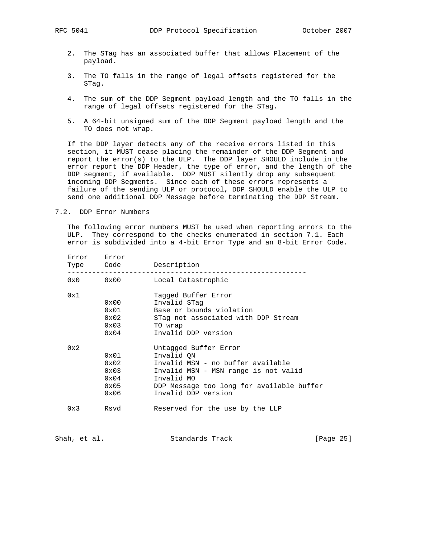- 2. The STag has an associated buffer that allows Placement of the payload.
- 3. The TO falls in the range of legal offsets registered for the STag.
- 4. The sum of the DDP Segment payload length and the TO falls in the range of legal offsets registered for the STag.
- 5. A 64-bit unsigned sum of the DDP Segment payload length and the TO does not wrap.

 If the DDP layer detects any of the receive errors listed in this section, it MUST cease placing the remainder of the DDP Segment and report the error(s) to the ULP. The DDP layer SHOULD include in the error report the DDP Header, the type of error, and the length of the DDP segment, if available. DDP MUST silently drop any subsequent incoming DDP Segments. Since each of these errors represents a failure of the sending ULP or protocol, DDP SHOULD enable the ULP to send one additional DDP Message before terminating the DDP Stream.

7.2. DDP Error Numbers

 The following error numbers MUST be used when reporting errors to the ULP. They correspond to the checks enumerated in section 7.1. Each error is subdivided into a 4-bit Error Type and an 8-bit Error Code.

| Error | Error<br>Type Code | Description                               |  |  |  |  |  |  |  |  |
|-------|--------------------|-------------------------------------------|--|--|--|--|--|--|--|--|
|       | $0x0$ $0x00$       | Local Catastrophic                        |  |  |  |  |  |  |  |  |
| 0x1   |                    | Tagged Buffer Error                       |  |  |  |  |  |  |  |  |
|       | 0x00               | Invalid STag                              |  |  |  |  |  |  |  |  |
|       | 0x01               | Base or bounds violation                  |  |  |  |  |  |  |  |  |
|       | $0 \times 02$      | STag not associated with DDP Stream       |  |  |  |  |  |  |  |  |
|       | 0x03               | TO wrap                                   |  |  |  |  |  |  |  |  |
|       | 0x04               | Invalid DDP version                       |  |  |  |  |  |  |  |  |
| 0x2   |                    | Untagged Buffer Error                     |  |  |  |  |  |  |  |  |
|       | $0 \times 01$      | Invalid ON                                |  |  |  |  |  |  |  |  |
|       | 0x02               | Invalid MSN - no buffer available         |  |  |  |  |  |  |  |  |
|       | 0x03               | Invalid MSN - MSN range is not valid      |  |  |  |  |  |  |  |  |
|       | $0 \times 04$      | Invalid MO                                |  |  |  |  |  |  |  |  |
|       | $0 \times 05$      | DDP Message too long for available buffer |  |  |  |  |  |  |  |  |
|       | 0x06               | Invalid DDP version                       |  |  |  |  |  |  |  |  |
| 0x3   | Rsvd               | Reserved for the use by the LLP           |  |  |  |  |  |  |  |  |
|       |                    |                                           |  |  |  |  |  |  |  |  |

Shah, et al. Standards Track [Page 25]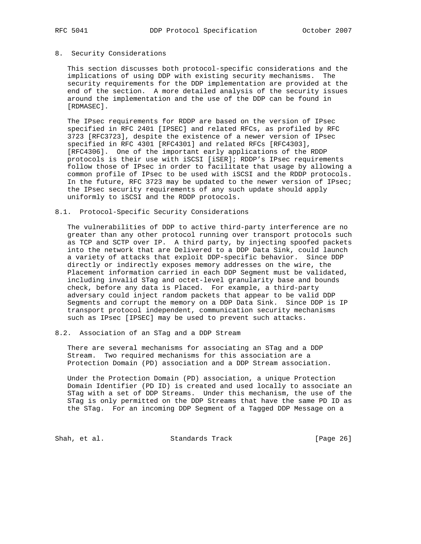#### 8. Security Considerations

 This section discusses both protocol-specific considerations and the implications of using DDP with existing security mechanisms. The security requirements for the DDP implementation are provided at the end of the section. A more detailed analysis of the security issues around the implementation and the use of the DDP can be found in [RDMASEC].

 The IPsec requirements for RDDP are based on the version of IPsec specified in RFC 2401 [IPSEC] and related RFCs, as profiled by RFC 3723 [RFC3723], despite the existence of a newer version of IPsec specified in RFC 4301 [RFC4301] and related RFCs [RFC4303], [RFC4306]. One of the important early applications of the RDDP protocols is their use with iSCSI [iSER]; RDDP's IPsec requirements follow those of IPsec in order to facilitate that usage by allowing a common profile of IPsec to be used with iSCSI and the RDDP protocols. In the future, RFC 3723 may be updated to the newer version of IPsec; the IPsec security requirements of any such update should apply uniformly to iSCSI and the RDDP protocols.

## 8.1. Protocol-Specific Security Considerations

 The vulnerabilities of DDP to active third-party interference are no greater than any other protocol running over transport protocols such as TCP and SCTP over IP. A third party, by injecting spoofed packets into the network that are Delivered to a DDP Data Sink, could launch a variety of attacks that exploit DDP-specific behavior. Since DDP directly or indirectly exposes memory addresses on the wire, the Placement information carried in each DDP Segment must be validated, including invalid STag and octet-level granularity base and bounds check, before any data is Placed. For example, a third-party adversary could inject random packets that appear to be valid DDP Segments and corrupt the memory on a DDP Data Sink. Since DDP is IP transport protocol independent, communication security mechanisms such as IPsec [IPSEC] may be used to prevent such attacks.

### 8.2. Association of an STag and a DDP Stream

 There are several mechanisms for associating an STag and a DDP Stream. Two required mechanisms for this association are a Protection Domain (PD) association and a DDP Stream association.

 Under the Protection Domain (PD) association, a unique Protection Domain Identifier (PD ID) is created and used locally to associate an STag with a set of DDP Streams. Under this mechanism, the use of the STag is only permitted on the DDP Streams that have the same PD ID as the STag. For an incoming DDP Segment of a Tagged DDP Message on a

Shah, et al. Standards Track [Page 26]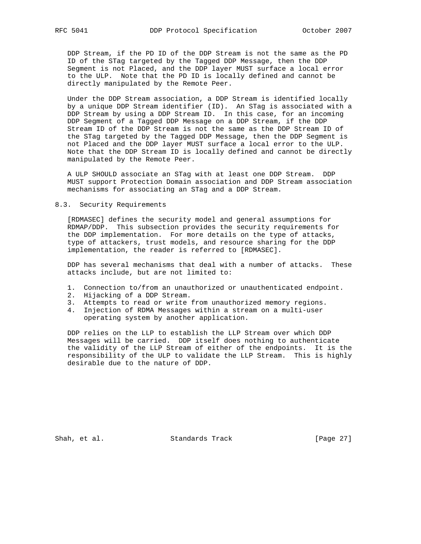DDP Stream, if the PD ID of the DDP Stream is not the same as the PD ID of the STag targeted by the Tagged DDP Message, then the DDP Segment is not Placed, and the DDP layer MUST surface a local error to the ULP. Note that the PD ID is locally defined and cannot be directly manipulated by the Remote Peer.

 Under the DDP Stream association, a DDP Stream is identified locally by a unique DDP Stream identifier (ID). An STag is associated with a DDP Stream by using a DDP Stream ID. In this case, for an incoming DDP Segment of a Tagged DDP Message on a DDP Stream, if the DDP Stream ID of the DDP Stream is not the same as the DDP Stream ID of the STag targeted by the Tagged DDP Message, then the DDP Segment is not Placed and the DDP layer MUST surface a local error to the ULP. Note that the DDP Stream ID is locally defined and cannot be directly manipulated by the Remote Peer.

 A ULP SHOULD associate an STag with at least one DDP Stream. DDP MUST support Protection Domain association and DDP Stream association mechanisms for associating an STag and a DDP Stream.

## 8.3. Security Requirements

 [RDMASEC] defines the security model and general assumptions for RDMAP/DDP. This subsection provides the security requirements for the DDP implementation. For more details on the type of attacks, type of attackers, trust models, and resource sharing for the DDP implementation, the reader is referred to [RDMASEC].

 DDP has several mechanisms that deal with a number of attacks. These attacks include, but are not limited to:

- 1. Connection to/from an unauthorized or unauthenticated endpoint.
- 2. Hijacking of a DDP Stream.
- 3. Attempts to read or write from unauthorized memory regions.
- 4. Injection of RDMA Messages within a stream on a multi-user operating system by another application.

 DDP relies on the LLP to establish the LLP Stream over which DDP Messages will be carried. DDP itself does nothing to authenticate the validity of the LLP Stream of either of the endpoints. It is the responsibility of the ULP to validate the LLP Stream. This is highly desirable due to the nature of DDP.

Shah, et al. Standards Track [Page 27]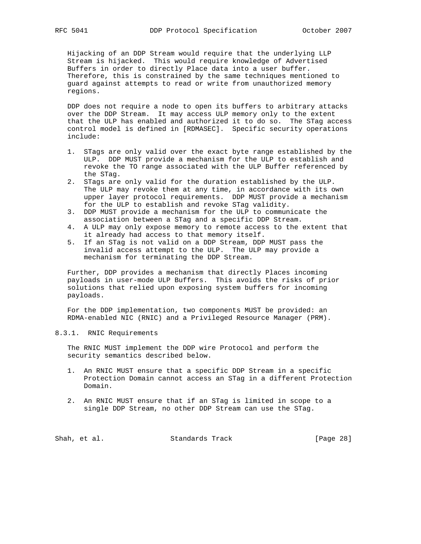Hijacking of an DDP Stream would require that the underlying LLP Stream is hijacked. This would require knowledge of Advertised Buffers in order to directly Place data into a user buffer. Therefore, this is constrained by the same techniques mentioned to guard against attempts to read or write from unauthorized memory regions.

 DDP does not require a node to open its buffers to arbitrary attacks over the DDP Stream. It may access ULP memory only to the extent that the ULP has enabled and authorized it to do so. The STag access control model is defined in [RDMASEC]. Specific security operations include:

- 1. STags are only valid over the exact byte range established by the ULP. DDP MUST provide a mechanism for the ULP to establish and revoke the TO range associated with the ULP Buffer referenced by the STag.
- 2. STags are only valid for the duration established by the ULP. The ULP may revoke them at any time, in accordance with its own upper layer protocol requirements. DDP MUST provide a mechanism for the ULP to establish and revoke STag validity.
- 3. DDP MUST provide a mechanism for the ULP to communicate the association between a STag and a specific DDP Stream.
- 4. A ULP may only expose memory to remote access to the extent that it already had access to that memory itself.
- 5. If an STag is not valid on a DDP Stream, DDP MUST pass the invalid access attempt to the ULP. The ULP may provide a mechanism for terminating the DDP Stream.

 Further, DDP provides a mechanism that directly Places incoming payloads in user-mode ULP Buffers. This avoids the risks of prior solutions that relied upon exposing system buffers for incoming payloads.

 For the DDP implementation, two components MUST be provided: an RDMA-enabled NIC (RNIC) and a Privileged Resource Manager (PRM).

### 8.3.1. RNIC Requirements

 The RNIC MUST implement the DDP wire Protocol and perform the security semantics described below.

- 1. An RNIC MUST ensure that a specific DDP Stream in a specific Protection Domain cannot access an STag in a different Protection Domain.
- 2. An RNIC MUST ensure that if an STag is limited in scope to a single DDP Stream, no other DDP Stream can use the STag.

Shah, et al. Standards Track [Page 28]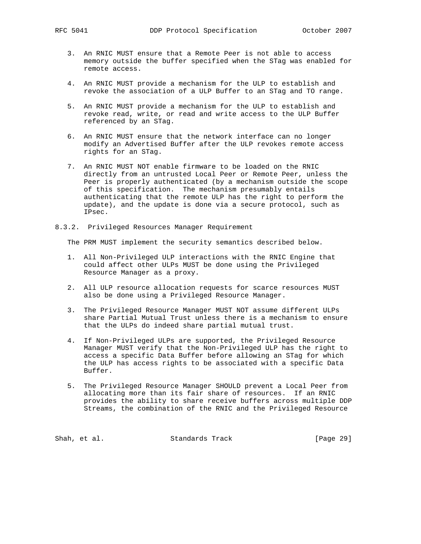- 3. An RNIC MUST ensure that a Remote Peer is not able to access memory outside the buffer specified when the STag was enabled for remote access.
- 4. An RNIC MUST provide a mechanism for the ULP to establish and revoke the association of a ULP Buffer to an STag and TO range.
- 5. An RNIC MUST provide a mechanism for the ULP to establish and revoke read, write, or read and write access to the ULP Buffer referenced by an STag.
- 6. An RNIC MUST ensure that the network interface can no longer modify an Advertised Buffer after the ULP revokes remote access rights for an STag.
- 7. An RNIC MUST NOT enable firmware to be loaded on the RNIC directly from an untrusted Local Peer or Remote Peer, unless the Peer is properly authenticated (by a mechanism outside the scope of this specification. The mechanism presumably entails authenticating that the remote ULP has the right to perform the update), and the update is done via a secure protocol, such as IPsec.
- 8.3.2. Privileged Resources Manager Requirement

The PRM MUST implement the security semantics described below.

- 1. All Non-Privileged ULP interactions with the RNIC Engine that could affect other ULPs MUST be done using the Privileged Resource Manager as a proxy.
- 2. All ULP resource allocation requests for scarce resources MUST also be done using a Privileged Resource Manager.
- 3. The Privileged Resource Manager MUST NOT assume different ULPs share Partial Mutual Trust unless there is a mechanism to ensure that the ULPs do indeed share partial mutual trust.
- 4. If Non-Privileged ULPs are supported, the Privileged Resource Manager MUST verify that the Non-Privileged ULP has the right to access a specific Data Buffer before allowing an STag for which the ULP has access rights to be associated with a specific Data Buffer.
- 5. The Privileged Resource Manager SHOULD prevent a Local Peer from allocating more than its fair share of resources. If an RNIC provides the ability to share receive buffers across multiple DDP Streams, the combination of the RNIC and the Privileged Resource

Shah, et al. Standards Track [Page 29]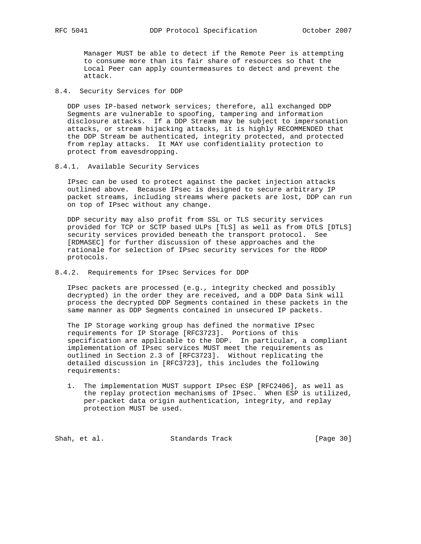Manager MUST be able to detect if the Remote Peer is attempting to consume more than its fair share of resources so that the Local Peer can apply countermeasures to detect and prevent the attack.

## 8.4. Security Services for DDP

 DDP uses IP-based network services; therefore, all exchanged DDP Segments are vulnerable to spoofing, tampering and information disclosure attacks. If a DDP Stream may be subject to impersonation attacks, or stream hijacking attacks, it is highly RECOMMENDED that the DDP Stream be authenticated, integrity protected, and protected from replay attacks. It MAY use confidentiality protection to protect from eavesdropping.

## 8.4.1. Available Security Services

 IPsec can be used to protect against the packet injection attacks outlined above. Because IPsec is designed to secure arbitrary IP packet streams, including streams where packets are lost, DDP can run on top of IPsec without any change.

 DDP security may also profit from SSL or TLS security services provided for TCP or SCTP based ULPs [TLS] as well as from DTLS [DTLS] security services provided beneath the transport protocol. See [RDMASEC] for further discussion of these approaches and the rationale for selection of IPsec security services for the RDDP protocols.

## 8.4.2. Requirements for IPsec Services for DDP

 IPsec packets are processed (e.g., integrity checked and possibly decrypted) in the order they are received, and a DDP Data Sink will process the decrypted DDP Segments contained in these packets in the same manner as DDP Segments contained in unsecured IP packets.

 The IP Storage working group has defined the normative IPsec requirements for IP Storage [RFC3723]. Portions of this specification are applicable to the DDP. In particular, a compliant implementation of IPsec services MUST meet the requirements as outlined in Section 2.3 of [RFC3723]. Without replicating the detailed discussion in [RFC3723], this includes the following requirements:

 1. The implementation MUST support IPsec ESP [RFC2406], as well as the replay protection mechanisms of IPsec. When ESP is utilized, per-packet data origin authentication, integrity, and replay protection MUST be used.

Shah, et al. Standards Track [Page 30]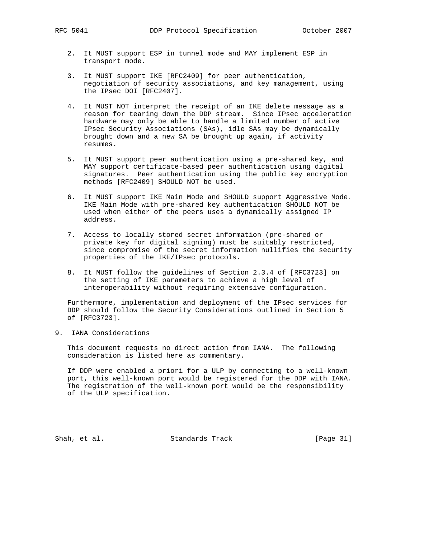- 2. It MUST support ESP in tunnel mode and MAY implement ESP in transport mode.
- 3. It MUST support IKE [RFC2409] for peer authentication, negotiation of security associations, and key management, using the IPsec DOI [RFC2407].
- 4. It MUST NOT interpret the receipt of an IKE delete message as a reason for tearing down the DDP stream. Since IPsec acceleration hardware may only be able to handle a limited number of active IPsec Security Associations (SAs), idle SAs may be dynamically brought down and a new SA be brought up again, if activity resumes.
- 5. It MUST support peer authentication using a pre-shared key, and MAY support certificate-based peer authentication using digital signatures. Peer authentication using the public key encryption methods [RFC2409] SHOULD NOT be used.
- 6. It MUST support IKE Main Mode and SHOULD support Aggressive Mode. IKE Main Mode with pre-shared key authentication SHOULD NOT be used when either of the peers uses a dynamically assigned IP address.
- 7. Access to locally stored secret information (pre-shared or private key for digital signing) must be suitably restricted, since compromise of the secret information nullifies the security properties of the IKE/IPsec protocols.
- 8. It MUST follow the guidelines of Section 2.3.4 of [RFC3723] on the setting of IKE parameters to achieve a high level of interoperability without requiring extensive configuration.

 Furthermore, implementation and deployment of the IPsec services for DDP should follow the Security Considerations outlined in Section 5 of [RFC3723].

9. IANA Considerations

 This document requests no direct action from IANA. The following consideration is listed here as commentary.

 If DDP were enabled a priori for a ULP by connecting to a well-known port, this well-known port would be registered for the DDP with IANA. The registration of the well-known port would be the responsibility of the ULP specification.

Shah, et al. Standards Track [Page 31]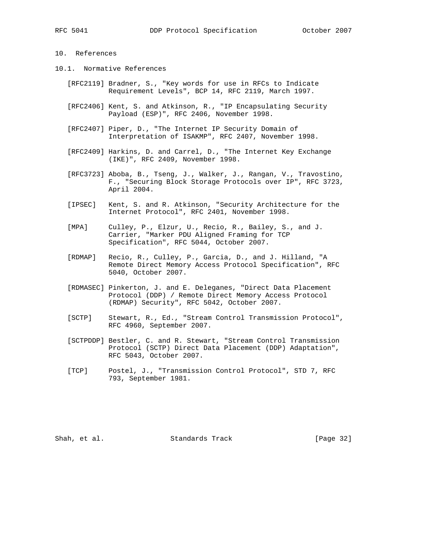## 10. References

- 10.1. Normative References
	- [RFC2119] Bradner, S., "Key words for use in RFCs to Indicate Requirement Levels", BCP 14, RFC 2119, March 1997.
	- [RFC2406] Kent, S. and Atkinson, R., "IP Encapsulating Security Payload (ESP)", RFC 2406, November 1998.
	- [RFC2407] Piper, D., "The Internet IP Security Domain of Interpretation of ISAKMP", RFC 2407, November 1998.
	- [RFC2409] Harkins, D. and Carrel, D., "The Internet Key Exchange (IKE)", RFC 2409, November 1998.
	- [RFC3723] Aboba, B., Tseng, J., Walker, J., Rangan, V., Travostino, F., "Securing Block Storage Protocols over IP", RFC 3723, April 2004.
	- [IPSEC] Kent, S. and R. Atkinson, "Security Architecture for the Internet Protocol", RFC 2401, November 1998.
	- [MPA] Culley, P., Elzur, U., Recio, R., Bailey, S., and J. Carrier, "Marker PDU Aligned Framing for TCP Specification", RFC 5044, October 2007.
	- [RDMAP] Recio, R., Culley, P., Garcia, D., and J. Hilland, "A Remote Direct Memory Access Protocol Specification", RFC 5040, October 2007.
	- [RDMASEC] Pinkerton, J. and E. Deleganes, "Direct Data Placement Protocol (DDP) / Remote Direct Memory Access Protocol (RDMAP) Security", RFC 5042, October 2007.
	- [SCTP] Stewart, R., Ed., "Stream Control Transmission Protocol", RFC 4960, September 2007.
	- [SCTPDDP] Bestler, C. and R. Stewart, "Stream Control Transmission Protocol (SCTP) Direct Data Placement (DDP) Adaptation", RFC 5043, October 2007.
	- [TCP] Postel, J., "Transmission Control Protocol", STD 7, RFC 793, September 1981.

Shah, et al. Standards Track [Page 32]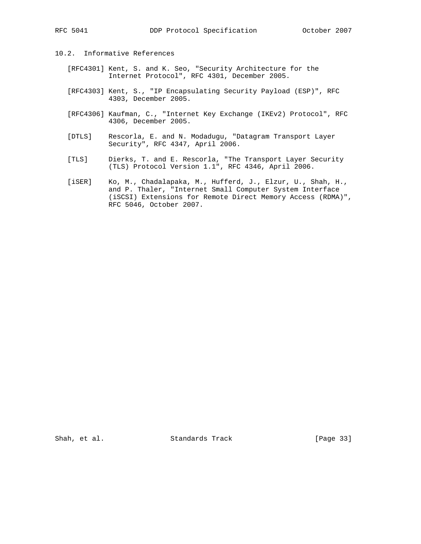- 10.2. Informative References
	- [RFC4301] Kent, S. and K. Seo, "Security Architecture for the Internet Protocol", RFC 4301, December 2005.
	- [RFC4303] Kent, S., "IP Encapsulating Security Payload (ESP)", RFC 4303, December 2005.
	- [RFC4306] Kaufman, C., "Internet Key Exchange (IKEv2) Protocol", RFC 4306, December 2005.
	- [DTLS] Rescorla, E. and N. Modadugu, "Datagram Transport Layer Security", RFC 4347, April 2006.
- [TLS] Dierks, T. and E. Rescorla, "The Transport Layer Security (TLS) Protocol Version 1.1", RFC 4346, April 2006.
	- [iSER] Ko, M., Chadalapaka, M., Hufferd, J., Elzur, U., Shah, H., and P. Thaler, "Internet Small Computer System Interface (iSCSI) Extensions for Remote Direct Memory Access (RDMA)", RFC 5046, October 2007.

Shah, et al. Standards Track [Page 33]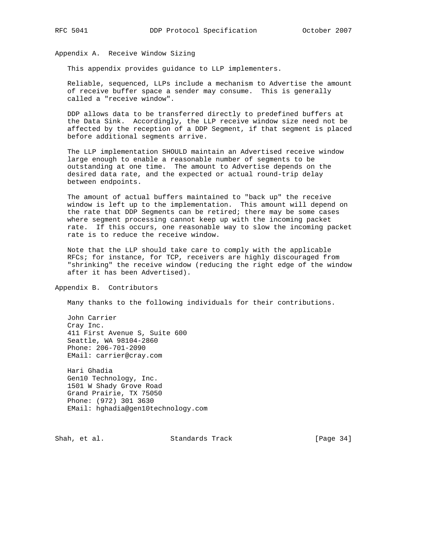Appendix A. Receive Window Sizing

This appendix provides guidance to LLP implementers.

 Reliable, sequenced, LLPs include a mechanism to Advertise the amount of receive buffer space a sender may consume. This is generally called a "receive window".

 DDP allows data to be transferred directly to predefined buffers at the Data Sink. Accordingly, the LLP receive window size need not be affected by the reception of a DDP Segment, if that segment is placed before additional segments arrive.

 The LLP implementation SHOULD maintain an Advertised receive window large enough to enable a reasonable number of segments to be outstanding at one time. The amount to Advertise depends on the desired data rate, and the expected or actual round-trip delay between endpoints.

 The amount of actual buffers maintained to "back up" the receive window is left up to the implementation. This amount will depend on the rate that DDP Segments can be retired; there may be some cases where segment processing cannot keep up with the incoming packet rate. If this occurs, one reasonable way to slow the incoming packet rate is to reduce the receive window.

 Note that the LLP should take care to comply with the applicable RFCs; for instance, for TCP, receivers are highly discouraged from "shrinking" the receive window (reducing the right edge of the window after it has been Advertised).

Appendix B. Contributors

Many thanks to the following individuals for their contributions.

 John Carrier Cray Inc. 411 First Avenue S, Suite 600 Seattle, WA 98104-2860 Phone: 206-701-2090 EMail: carrier@cray.com

 Hari Ghadia Gen10 Technology, Inc. 1501 W Shady Grove Road Grand Prairie, TX 75050 Phone: (972) 301 3630 EMail: hghadia@gen10technology.com

Shah, et al. Standards Track [Page 34]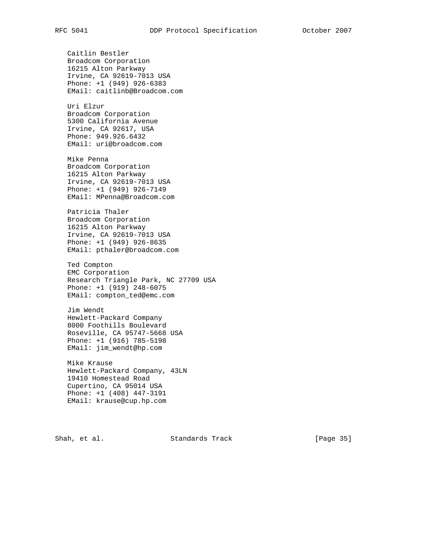Caitlin Bestler Broadcom Corporation 16215 Alton Parkway Irvine, CA 92619-7013 USA Phone: +1 (949) 926-6383 EMail: caitlinb@Broadcom.com Uri Elzur Broadcom Corporation 5300 California Avenue Irvine, CA 92617, USA Phone: 949.926.6432 EMail: uri@broadcom.com Mike Penna Broadcom Corporation 16215 Alton Parkway Irvine, CA 92619-7013 USA Phone: +1 (949) 926-7149 EMail: MPenna@Broadcom.com Patricia Thaler Broadcom Corporation 16215 Alton Parkway Irvine, CA 92619-7013 USA Phone: +1 (949) 926-8635 EMail: pthaler@broadcom.com Ted Compton EMC Corporation Research Triangle Park, NC 27709 USA Phone: +1 (919) 248-6075 EMail: compton\_ted@emc.com Jim Wendt Hewlett-Packard Company 8000 Foothills Boulevard Roseville, CA 95747-5668 USA Phone: +1 (916) 785-5198 EMail: jim\_wendt@hp.com Mike Krause Hewlett-Packard Company, 43LN 19410 Homestead Road Cupertino, CA 95014 USA Phone: +1 (408) 447-3191 EMail: krause@cup.hp.com

Shah, et al. Standards Track [Page 35]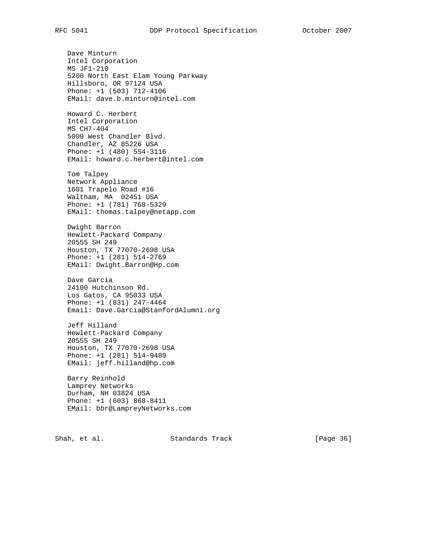Dave Minturn Intel Corporation MS JF1-210 5200 North East Elam Young Parkway Hillsboro, OR 97124 USA Phone: +1 (503) 712-4106 EMail: dave.b.minturn@intel.com Howard C. Herbert Intel Corporation MS CH7-404 5000 West Chandler Blvd. Chandler, AZ 85226 USA Phone: +1 (480) 554-3116 EMail: howard.c.herbert@intel.com Tom Talpey Network Appliance 1601 Trapelo Road #16 Waltham, MA 02451 USA Phone: +1 (781) 768-5329 EMail: thomas.talpey@netapp.com Dwight Barron Hewlett-Packard Company 20555 SH 249 Houston, TX 77070-2698 USA Phone: +1 (281) 514-2769 EMail: Dwight.Barron@Hp.com Dave Garcia 24100 Hutchinson Rd. Los Gatos, CA 95033 USA Phone: +1 (831) 247-4464 Email: Dave.Garcia@StanfordAlumni.org Jeff Hilland Hewlett-Packard Company 20555 SH 249 Houston, TX 77070-2698 USA Phone: +1 (281) 514-9489 EMail: jeff.hilland@hp.com Barry Reinhold Lamprey Networks Durham, NH 03824 USA Phone: +1 (603) 868-8411 EMail: bbr@LampreyNetworks.com

Shah, et al. Standards Track [Page 36]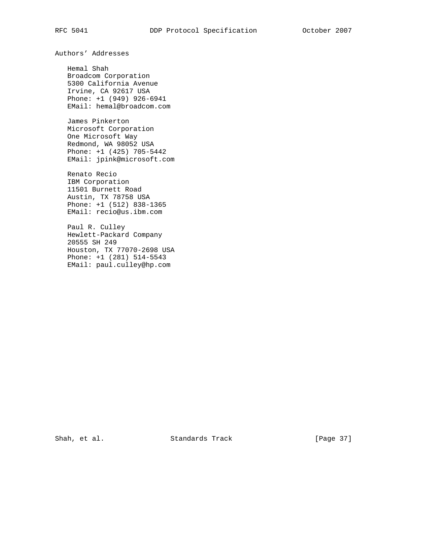Authors' Addresses

 Hemal Shah Broadcom Corporation 5300 California Avenue Irvine, CA 92617 USA Phone: +1 (949) 926-6941 EMail: hemal@broadcom.com

 James Pinkerton Microsoft Corporation One Microsoft Way Redmond, WA 98052 USA Phone: +1 (425) 705-5442 EMail: jpink@microsoft.com

 Renato Recio IBM Corporation 11501 Burnett Road Austin, TX 78758 USA Phone: +1 (512) 838-1365 EMail: recio@us.ibm.com

 Paul R. Culley Hewlett-Packard Company 20555 SH 249 Houston, TX 77070-2698 USA Phone: +1 (281) 514-5543 EMail: paul.culley@hp.com

Shah, et al. Standards Track [Page 37]